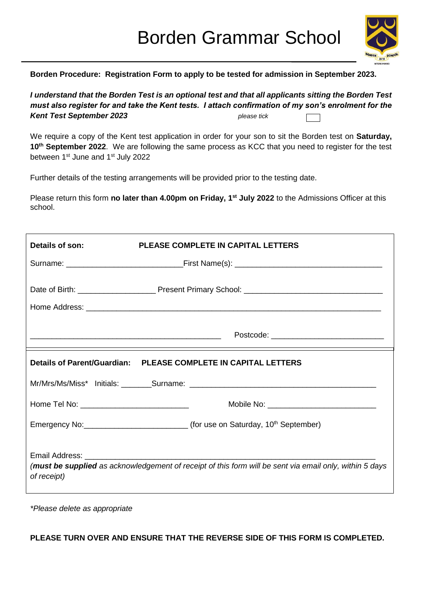

**Borden Procedure: Registration Form to apply to be tested for admission in September 2023.**

*I understand that the Borden Test is an optional test and that all applicants sitting the Borden Test must also register for and take the Kent tests. I attach confirmation of my son's enrolment for the Kent Test September 2023 please tick* 

We require a copy of the Kent test application in order for your son to sit the Borden test on **Saturday, 10th September 2022**. We are following the same process as KCC that you need to register for the test between 1st June and 1st July 2022

Further details of the testing arrangements will be provided prior to the testing date.

Please return this form **no later than 4.00pm on Friday, 1st July 2022** to the Admissions Officer at this school.

| Details of son:                                                                                                        | <b>PLEASE COMPLETE IN CAPITAL LETTERS</b>                                                       |  |  |  |
|------------------------------------------------------------------------------------------------------------------------|-------------------------------------------------------------------------------------------------|--|--|--|
|                                                                                                                        |                                                                                                 |  |  |  |
|                                                                                                                        |                                                                                                 |  |  |  |
|                                                                                                                        | Postcode: __________________________________                                                    |  |  |  |
| Details of Parent/Guardian: PLEASE COMPLETE IN CAPITAL LETTERS                                                         |                                                                                                 |  |  |  |
|                                                                                                                        |                                                                                                 |  |  |  |
| Home Tel No: _________________________________                                                                         |                                                                                                 |  |  |  |
|                                                                                                                        | Emergency No: ________________________________(for use on Saturday, 10 <sup>th</sup> September) |  |  |  |
| (must be supplied as acknowledgement of receipt of this form will be sent via email only, within 5 days<br>of receipt) |                                                                                                 |  |  |  |

*\*Please delete as appropriate*

**PLEASE TURN OVER AND ENSURE THAT THE REVERSE SIDE OF THIS FORM IS COMPLETED.**